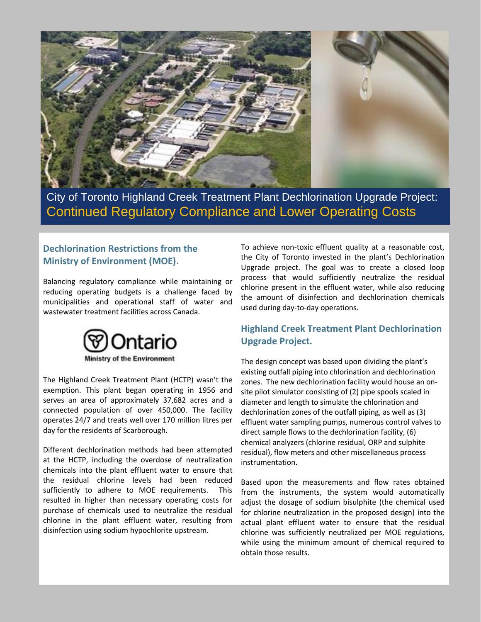

City of Toronto Highland Creek Treatment Plant Dechlorination Upgrade Project: Continued Regulatory Compliance and Lower Operating Costs

## **Dechlorination Restrictions from the Ministry of Environment (MOE).**

Balancing regulatory compliance while maintaining or reducing operating budgets is a challenge faced by municipalities and operational staff of water and wastewater treatment facilities across Canada.



The Highland Creek Treatment Plant (HCTP) wasn't the exemption. This plant began operating in 1956 and serves an area of approximately 37,682 acres and a connected population of over 450,000. The facility operates 24/7 and treats well over 170 million litres per day for the residents of Scarborough.

Different dechlorination methods had been attempted at the HCTP, including the overdose of neutralization chemicals into the plant effluent water to ensure that the residual chlorine levels had been reduced sufficiently to adhere to MOE requirements. This resulted in higher than necessary operating costs for purchase of chemicals used to neutralize the residual chlorine in the plant effluent water, resulting from disinfection using sodium hypochlorite upstream.

To achieve non-toxic effluent quality at a reasonable cost, the City of Toronto invested in the plant's Dechlorination Upgrade project. The goal was to create a closed loop process that would sufficiently neutralize the residual chlorine present in the effluent water, while also reducing the amount of disinfection and dechlorination chemicals used during day-to-day operations.

## **Highland Creek Treatment Plant Dechlorination Upgrade Project.**

The design concept was based upon dividing the plant's existing outfall piping into chlorination and dechlorination zones. The new dechlorination facility would house an onsite pilot simulator consisting of (2) pipe spools scaled in diameter and length to simulate the chlorination and dechlorination zones of the outfall piping, as well as (3) effluent water sampling pumps, numerous control valves to direct sample flows to the dechlorination facility, (6) chemical analyzers (chlorine residual, ORP and sulphite residual), flow meters and other miscellaneous process instrumentation.

Based upon the measurements and flow rates obtained from the instruments, the system would automatically adjust the dosage of sodium bisulphite (the chemical used for chlorine neutralization in the proposed design) into the actual plant effluent water to ensure that the residual chlorine was sufficiently neutralized per MOE regulations, while using the minimum amount of chemical required to obtain those results.